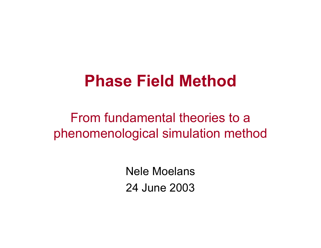## **Phase Field Method**

From fundamental theories to a phenomenological simulation method

> Nele Moelans24 June 2003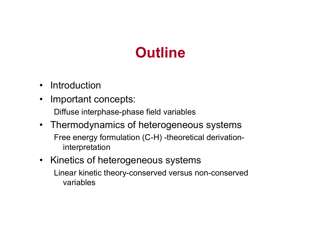### **Outline**

- Introduction
- $\bullet$  Important concepts: Diffuse interphase-phase field variables
- Thermodynamics of heterogeneous systems Free energy formulation (C-H) -theoretical derivationinterpretation
- Kinetics of heterogeneous systems Linear kinetic theory-conserved versus non-conserved variables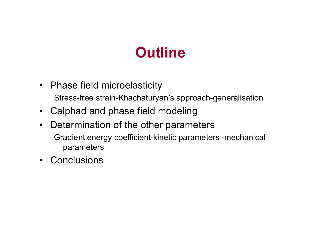### **Outline**

- Phase field microelasticity Stress-free strain-Khachaturyan's approach-generalisation
- Calphad and phase field modeling
- $\bullet$  Determination of the other parameters Gradient energy coefficient-kinetic parameters -mechanical parameters
- Conclusions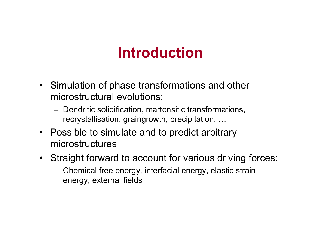### **Introduction**

- Simulation of phase transformations and other microstructural evolutions:
	- Dendritic solidification, martensitic transformations, recrystallisation, graingrowth, precipitation, …
- Possible to simulate and to predict arbitrary microstructures
- Straight forward to account for various driving forces:
	- Chemical free energy, interfacial energy, elastic strain energy, external fields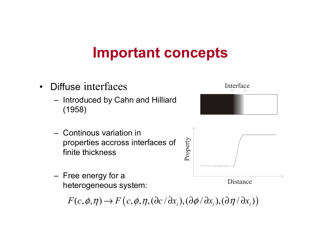#### **Important concepts**

- $\bullet$  Diffuse interfaces
	- Introduced by Cahn and Hilliard (1958)
	- Continous variation in properties accross interfaces of finite thickness
	- Free energy for a heterogeneous system:

 $F(c, \phi, \eta) \rightarrow F\big(c, \phi, \eta, (\partial c\, \partial x_i), (\partial \phi \, \partial x_i), (\partial \eta \, \partial x_i)\big)$ 



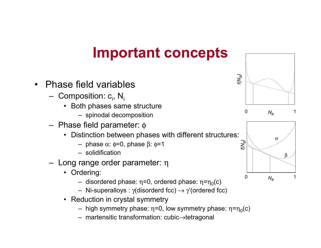#### **Important concepts**

- • Phase field variables
	- Composition:  $\mathsf{c}_{\mathsf{i}}$ , N $_{\mathsf{i}}$ 
		- Both phases same structure
			- spinodal decomposition
	- Phase field parameter: φ
		- Distinction between phases with different structures:
			- phase <sup>α</sup>: φ=0, phase β: φ=1
			- solidification
	- Long range order parameter: η
		- Ordering:
			- disordered phase: η=0, ordered phase: η=η $_0$ (c)
			- Ni-superalloys :  $\gamma$ (disorderd fcc)  $\rightarrow$   $\gamma'$ (ordered fcc)  $\,$
		- Reduction in crystal symmetry
			- high symmetry phase: η=0, low symmetry phase: η=η $_0$ (c)
			- martensitic transformation: cubic <sup>→</sup>tetragonal



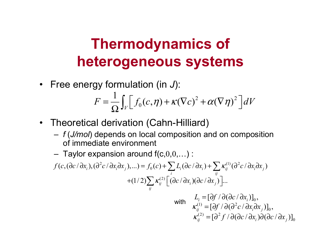• Free energy formulation (in *J*):

$$
F = \frac{1}{\Omega} \int_{V} \Big[ f_0(c, \eta) + \kappa (\nabla c)^2 + \alpha (\nabla \eta)^2 \Big] dV
$$

- Theoretical derivation (Cahn-Hilliard)
	- *f* (*J/mol*) depends on local composition and on composition of immediate environment
	- Taylor expansion around f(c, $0,0,\dots)$  :

$$
f(c, (\partial c/\partial x_i), (\partial^2 c/\partial x_i \partial x_j),...) = f_0(c) + \sum_i L_i(\partial c/\partial x_i) + \sum_{ij} \kappa_{ij}^{(1)}(\partial^2 c/\partial x_i \partial x_j)
$$

$$
+ (1/2) \sum_{ij} \kappa_{ij}^{(2)} \Big[ (\partial c/\partial x_i)(\partial c/\partial x_j) \Big]...
$$

with 
$$
L_i = [\partial f / \partial (\partial c / \partial x_i)]_0,
$$
  
\n
$$
\kappa_{ij}^{(1)} = [\partial f / \partial (\partial^2 c / \partial x_i \partial x_j)]_0,
$$
  
\n
$$
\kappa_{ij}^{(2)} = [\partial^2 f / \partial (\partial c / \partial x_i) \partial (\partial c / \partial x_j)]_0
$$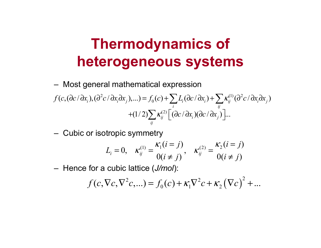- Most general mathematical expression  $2a(\lambda x \lambda y) = f(a) + \sum I(a \lambda y) + \sum I(a^2)$  $(C, (\partial c/\partial x_i),(\partial^2 c/\partial x_i\partial x_j),...)=f_0(c)+\sum L_i(\partial c/\partial x_i)+\sum K_{ij}^{(1)}(\partial^2 c/\partial x_i\partial x_j)$ *i ij*  $f(c,(\partial c/\partial x_i),(\partial^2 c/\partial x_i\partial x_j),...) = f_0(c) + \sum L_i(\partial c/\partial x_i) + \sum \kappa_{ij}^{(1)}(\partial^2 c/\partial x_i\partial x_j)$  $(1/2) \sum \kappa_{ij}^{(2)} \left| \right. (\partial c/\partial x_i) (\partial c/\partial x_j) \left| ... \right|$ *ij*  $+(1/2)\sum \kappa^{(2)}_{ij}\Big[ (\partial c/\partial x^{\vphantom{\dagger}}_i)(\partial c/\partial x^{\vphantom{\dagger}}_j)\Big]$
- Cubic or isotropic symmetry

$$
L_i = 0, \quad \kappa_{ij}^{(1)} = \frac{\kappa_1(i=j)}{0(i \neq j)}, \quad \kappa_{ij}^{(2)} = \frac{\kappa_2(i=j)}{0(i \neq j)}
$$

Hence for a cubic lattice (*J/mol*):

$$
f(c, \nabla c, \nabla^2 c, \ldots) = f_0(c) + \kappa_1 \nabla^2 c + \kappa_2 (\nabla c)^2 + \ldots
$$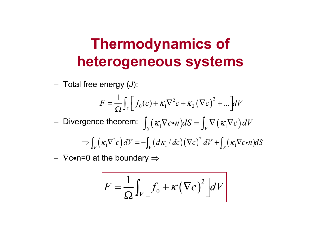Total free energy ( *J*):

$$
F = \frac{1}{\Omega} \int_V \left[ f_0(c) + \kappa_1 \nabla^2 c + \kappa_2 (\nabla c)^2 + \dots \right] dV
$$

Divergence theorem:  $\int_{S} (\kappa_1 \nabla c \cdot n) dS = \int_{V} \nabla (\kappa_1 \nabla c) dV$  $\Rightarrow \int_V (\kappa_1 \nabla^2 c) dV = - \int_V (d\kappa_1 / dc) (\nabla c)^2 dV + \int_S (\kappa_1 \nabla c \cdot n)$  $\Rightarrow$   $\int_{V} (\kappa_1 \nabla^2 c) dV = -\int_{V} (d\kappa_1 / dc) (\nabla c)^2 dV + \int_{S} (\kappa_1 \nabla c \cdot n) dS$  $\bullet$ 

 $−\,$   $\nabla$ c∙n=0 at the boundary  $\Rightarrow$ 

$$
F = \frac{1}{\Omega} \int_{V} \left[ f_0 + \kappa (\nabla c)^2 \right] dV
$$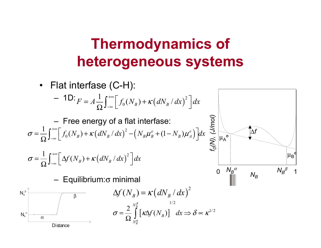• Flat interfase (C-H):

$$
- 1D:_{F = A \frac{1}{\Omega} \int_{-\infty}^{+\infty} \left[ f_0(N_B) + \kappa (dN_B / dx)^2 \right] dx
$$

 Free energy of a flat interfase:  $\int_0^1 (N_{_B}) + \kappa \big( dN_{_B} / dx \big)^2 - \big( N_{_B} \mu_{_B}^e + (1 - N_{_B}) \mu_{_A}^e \big)$ 1 $\sigma = \frac{1}{\Omega} \int_{-\infty}^{+\infty} \left[ f_0(N_B) + \kappa (dN_B / dx)^2 - (N_B \mu_B^e + (1 - N_B) \mu_A^e) \right] dx$  $=\frac{1}{2} \int_{0}^{+\infty} \left[ f_o(N_p) + \kappa (dN_p/dx)^2 - (N_p \mu_p^e + (1 - N_p) \mu_q^e) \right]$  $\frac{1}{\Omega}\int_{-\infty}^{+\infty}\left[f_0(N_B)+\kappa\left(dN_B/dx\right)^2-\left(N_B\mu_B^e+(1-N_B)\mu_A^e\right)\right]$ 

$$
\sigma = \frac{1}{\Omega} \int_{-\infty}^{+\infty} \left[ \Delta f(N_B) + \kappa (dN_B / dx)^2 \right] dx
$$

Equilibrium: σ minimal



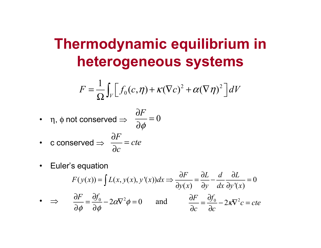# **Thermodynamic equilibrium in heterogeneous systems**

$$
F = \frac{1}{\Omega} \int_V \left[ f_0(c, \eta) + \kappa (\nabla c)^2 + \alpha (\nabla \eta)^2 \right] dV
$$

 $\textcolor{black}{\bullet}\quad$  η, φ not conserved  $\Rightarrow$ ∂

$$
\frac{\partial F}{\partial \phi} = 0
$$

• c conserved 
$$
\Rightarrow \frac{\partial F}{\partial c} = cte
$$

 $\bullet$ Euler's equation

$$
F(y(x)) = \int L(x, y(x), y'(x)) dx \Rightarrow \frac{\partial F}{\partial y(x)} = \frac{\partial L}{\partial y} - \frac{d}{dx} \frac{\partial L}{\partial y'(x)} = 0
$$
  
\n• 
$$
\Rightarrow \frac{\partial F}{\partial \phi} = \frac{\partial f_0}{\partial \phi} - 2\alpha \nabla^2 \phi = 0 \quad \text{and} \quad \frac{\partial F}{\partial c} = \frac{\partial f_0}{\partial c} - 2\kappa \nabla^2 c = cte
$$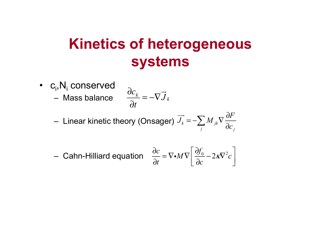## **Kinetics of heterogeneous systems**

•  $\,$   $\,$   $\rm c}_{\rm i}$ , $\rm N}_{\rm i}$  conserved – Mass balance

$$
\frac{\partial c_k}{\partial t} = -\nabla \vec{J}_k
$$

Linear kinetic theory (Onsager)  $J_{\scriptscriptstyle{k}} = -\sum M_{\scriptscriptstyle{jk}}$ *j j F* $J_k = -\sum_i M_{jk} \nabla \frac{\partial f}{\partial c}$ ∂ =− ∇ ∂  $\overrightarrow{J}_k = -\sum$ 

- Cahn-Hilliard equation 
$$
\frac{\partial c}{\partial t} = \nabla \cdot M \nabla \left[ \frac{\partial f_0}{\partial c} - 2K \nabla^2 c \right]
$$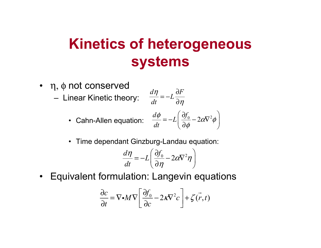## **Kinetics of heterogeneous systems**

- η, φ not conserved
	- Linear Kinetic theory:

$$
\frac{d\eta}{dt} = -L\frac{\partial F}{\partial \eta}
$$

• Cahn-Allen equation:

$$
\frac{d\phi}{dt} = -L\left(\frac{\partial f_0}{\partial \phi} - 2\alpha \nabla^2 \phi\right)
$$

• Time dependant Ginzburg-Landau equation:

$$
\frac{d\eta}{dt} = -L\left(\frac{\partial f_0}{\partial \eta} - 2\alpha \nabla^2 \eta\right)
$$

• Equivalent formulation: Langevin equations

$$
\frac{\partial c}{\partial t} = \nabla \cdot M \nabla \left[ \frac{\partial f_0}{\partial c} - 2K \nabla^2 c \right] + \zeta(\vec{r}, t)
$$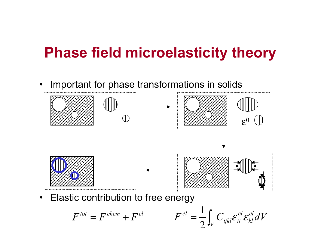#### **Phase field microelasticity theory**

•Important for phase transformations in solids



 $\bullet$ Elastic contribution to free energy

$$
F^{tot} = F^{chem} + F^{el}
$$

$$
F^{el} = \frac{1}{2} \int_V C_{ijkl} \mathcal{E}_{ij}^{el} \mathcal{E}_{kl}^{el} dV
$$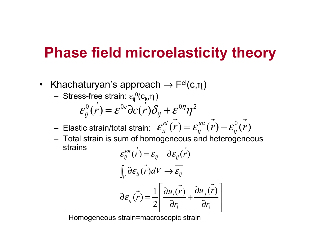#### **Phase field microelasticity theory**

- Khachaturyan's approach  $\rightarrow$  F<sup>el</sup>(c, $\eta$ )
	- Stress-free strain:  $\epsilon_{\sf ij}^{\phantom{\sf{U}}}$ (c $_{\sf k},$ η $_{\sf l})$

$$
\varepsilon_{ij}^{0}(\vec{r}) = \varepsilon^{0c} \partial c(\vec{r}) \delta_{ij} + \varepsilon^{0\eta} \eta^{2}
$$

– Elastic strain/total strain:  $\mathcal{E}^{el}_{ii}(r)$   $=$   $\mathcal{E}^{tot}_{ii}(r)$   $\mathcal{E}^{0}_{ii}(r)$  *ij tot ij*  $\varepsilon_{ij}^{el}(r) = \varepsilon_{ij}^{tot}(r) - \varepsilon_{ij}^{eq}$ 

 Total strain is sum of homogeneous and heterogeneous strains*tot*

$$
\mathcal{E}_{ij}^{tot}(\vec{r}) = \overline{\mathcal{E}_{ij}} + \partial \mathcal{E}_{ij}(\vec{r})
$$
\n
$$
\int_{V} \partial \mathcal{E}_{ij}(\vec{r}) dV \rightarrow \overline{\mathcal{E}_{ij}}
$$
\n
$$
\partial \mathcal{E}_{ij}(\vec{r}) = \frac{1}{2} \left[ \frac{\partial u_{i}(\vec{r})}{\partial r_{i}} + \frac{\partial u_{j}(\vec{r})}{\partial r_{i}} \right]
$$

Homogeneous strain=macroscopic strain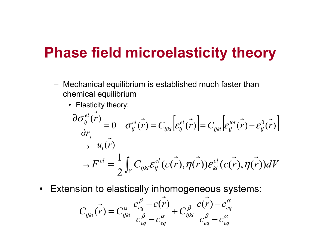#### **Phase field microelasticity theory**

- Mechanical equilibrium is established much faster than chemical equilibrium
	- Elasticity theory:

$$
\frac{\partial \sigma_{ij}^{el}(\vec{r})}{\partial r_j} = 0 \quad \sigma_{ij}^{el}(\vec{r}) = C_{ijkl} \Big[ \varepsilon_{ij}^{el}(\vec{r}) \Big] = C_{ijkl} \Big[ \varepsilon_{ij}^{tot}(\vec{r}) - \varepsilon_{ij}^{0}(\vec{r}) \Big]
$$

$$
\rightarrow H^{el} = \frac{1}{2} \int_V C_{ijkl} \varepsilon_{ij}^{el}(\vec{c}(\vec{r}), \vec{\eta}(\vec{r})) \varepsilon_{kl}^{el}(\vec{c}(\vec{r}), \vec{\eta}(\vec{r})) dV
$$

•Extension to elastically inhomogeneous systems:

$$
C_{ijkl}(\vec{r}) = C_{ijkl}^{\alpha} \frac{c_{eq}^{\beta} - c(\vec{r})}{c_{eq}^{\beta} - c_{eq}^{\alpha}} + C_{ijkl}^{\beta} \frac{c(\vec{r}) - c_{eq}^{\alpha}}{c_{eq}^{\beta} - c_{eq}^{\alpha}}
$$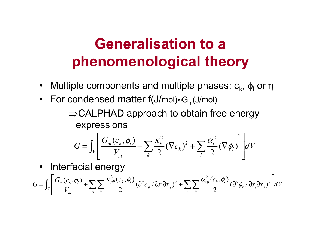# **Generalisation to a phenomenological theory**

- $\bullet$ Multiple components and multiple phases:  $c_{k}$ ,  $\phi_{l}$  or  $\eta_{l}$
- For condensed matter f(J/mol)≈G<sub>m</sub>(J/mol)

<sup>⇒</sup>CALPHAD approach to obtain free energy expressions

$$
G = \int_{V} \left[ \frac{G_{m}(c_{k}, \phi_{l})}{V_{m}} + \sum_{k} \frac{K_{k}^{2}}{2} (\nabla c_{k})^{2} + \sum_{l} \frac{\alpha_{l}^{2}}{2} (\nabla \phi_{l})^{2} \right] dV
$$

 $\bullet$ Interfacial energy

$$
G = \int_{V} \left[ \frac{G_m(c_k, \phi_l)}{V_m} + \sum_{p} \sum_{ij} \frac{\kappa_{pi}^2(c_k, \phi_l)}{2} (\partial^2 c_p / \partial x_i \partial x_j)^2 + \sum_{r} \sum_{ij} \frac{\alpha_{rij}^2(c_k, \phi_l)}{2} (\partial^2 \phi_r / \partial x_i \partial x_j)^2 \right] dV
$$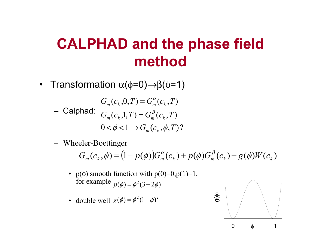## **CALPHAD and the phase field method**

 $\bullet$  Transformation α(φ=0)→β(φ=1)

 Calphad:  $0 < \phi < 1 \rightarrow G_m(c_k, \phi, T)$ ?  $G_m(c_k,1,T) = G_m^p(c_k,T)$  $G_m(c_k, 0, T) = G_m^{\alpha}(c_k, T)$  $=\mathbb{G}_{m}^{\beta}$  $= G^{\alpha}_{\mu\nu}$ 

Wheeler-Boettinger

 $G_m(c_k, \phi) = (1 - p(\phi))G_m^{\alpha}(c_k) + p(\phi)G_m^{\beta}(c_k) + g(\phi)W(c_k)$  $= (1 - p(\phi))G_{m}^{\alpha}(c_{k}) + p(\phi)G_{m}^{\beta}(c_{k}) +$ 

- $p(\phi)$  smooth function with  $p(0)=0, p(1)=1$ , for example  $p(\phi) = \phi^2(3-2\phi)$
- double well  $g(\phi) = \phi^2 (1-\phi)^2$

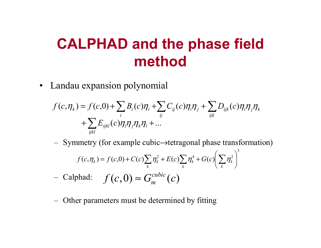## **CALPHAD and the phase field method**

• Landau expansion polynomial

$$
f(c,\eta_k) = f(c,0) + \sum_i B_i(c)\eta_i + \sum_{ij} C_{ij}(c)\eta_i\eta_j + \sum_{ijk} D_{ijk}(c)\eta_i\eta_j\eta_k
$$
  
+ 
$$
\sum_{ijkl} E_{ijkl}(c)\eta_i\eta_j\eta_k\eta_l + ...
$$

Symmetry (for example cubic→tetragonal phase transformation)

$$
f(c, \eta_k) = f(c, 0) + C(c) \sum_k \eta_k^2 + E(c) \sum_k \eta_k^4 + G(c) \left(\sum_k \eta_k^2\right)^3
$$
  
- Calphad:  $f(c, 0) \approx G_m^{cubic}(c)$ 

Other parameters must be determined by fitting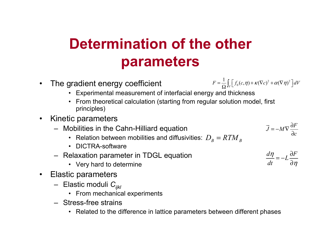# **Determination of the other parameters**

 $\bullet$ The gradient energy coefficient

$$
F = \frac{1}{\Omega} \int_V \left[ f_0(c, \eta) + \kappa (\nabla c)^2 + \alpha (\nabla \eta)^2 \right] dV
$$

- Experimental measurement of interfacial energy and thickness
- From theoretical calculation (starting from regular solution model, first principles)
- $\bullet$  Kinetic parameters
	- Mobilities in the Cahn-Hilliard equation
		- Relation between mobilities and diffusivities:  $D_{_B}=R T M_{_B}$
		- DICTRA-software
	- Relaxation parameter in TDGL equation
		- Very hard to determine
- Elastic parameters
	- Elastic moduli *Cijkl*
		- From mechanical experiments
	- Stress-free strains
		- Related to the difference in lattice parameters between different phases

 $J = -MV\frac{dV}{dr}$  $=-M\nabla\frac{\partial}{\partial x}$ 

 $d\eta$  *dF*  $\frac{dI}{dt} = -L\frac{dI}{dt}$ 

 $=-L\frac{\partial}{\partial}$ 

 $\rightarrow$ 

 $\eta$ 

*F*

 $\eta$